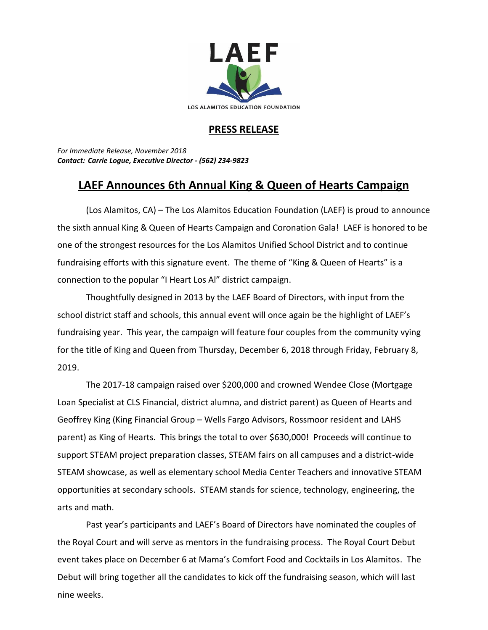

## **PRESS RELEASE**

*For Immediate Release, November 2018 Contact: Carrie Logue, Executive Director - (562) 234-9823*

## **LAEF Announces 6th Annual King & Queen of Hearts Campaign**

(Los Alamitos, CA) – The Los Alamitos Education Foundation (LAEF) is proud to announce the sixth annual King & Queen of Hearts Campaign and Coronation Gala! LAEF is honored to be one of the strongest resources for the Los Alamitos Unified School District and to continue fundraising efforts with this signature event. The theme of "King & Queen of Hearts" is a connection to the popular "I Heart Los Al" district campaign.

Thoughtfully designed in 2013 by the LAEF Board of Directors, with input from the school district staff and schools, this annual event will once again be the highlight of LAEF's fundraising year. This year, the campaign will feature four couples from the community vying for the title of King and Queen from Thursday, December 6, 2018 through Friday, February 8, 2019.

The 2017-18 campaign raised over \$200,000 and crowned Wendee Close (Mortgage Loan Specialist at CLS Financial, district alumna, and district parent) as Queen of Hearts and Geoffrey King (King Financial Group – Wells Fargo Advisors, Rossmoor resident and LAHS parent) as King of Hearts. This brings the total to over \$630,000! Proceeds will continue to support STEAM project preparation classes, STEAM fairs on all campuses and a district-wide STEAM showcase, as well as elementary school Media Center Teachers and innovative STEAM opportunities at secondary schools. STEAM stands for science, technology, engineering, the arts and math.

Past year's participants and LAEF's Board of Directors have nominated the couples of the Royal Court and will serve as mentors in the fundraising process. The Royal Court Debut event takes place on December 6 at Mama's Comfort Food and Cocktails in Los Alamitos. The Debut will bring together all the candidates to kick off the fundraising season, which will last nine weeks.